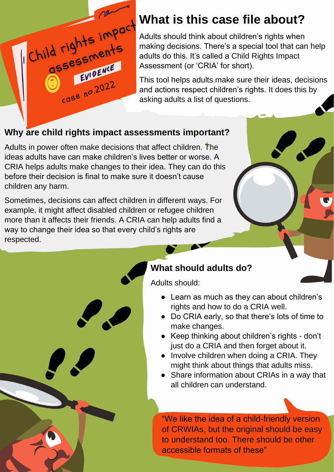

Adults should think about children's rights when making decisions. There's a special tool that can help adults do this. It's called a Child Rights Impact Assessment (or 'CRIA' for short).

This tool helps adults make sure their ideas, decisions and actions respect children's rights. It does this by asking adults a list of questions.

## **Why are child rights impact assessments important?**

Adults in power often make decisions that affect children. The ideas adults have can make children's lives better or worse. A CRIA helps adults make changes to their idea. They can do this before their decision is final to make sure it doesn't cause children any harm.

Sometimes, decisions can affect children in different ways. For example, it might affect disabled children or refugee children more than it affects their friends. A CRIA can help adults find a way to change their idea so that every child's rights are respected.

## **What should adults do?**

Adults should:

- Learn as much as they can about children's rights and how to do a CRIA well.
- Do CRIA early, so that there's lots of time to make changes.
- Keep thinking about children's rights don't just do a CRIA and then forget about it.
- Involve children when doing a CRIA. They might think about things that adults miss.
- Share information about CRIAs in a way that all children can understand.

"We like the idea of a child-friendly version of CRWIAs, but the original should be easy to understand too. There should be other accessible formats of these"